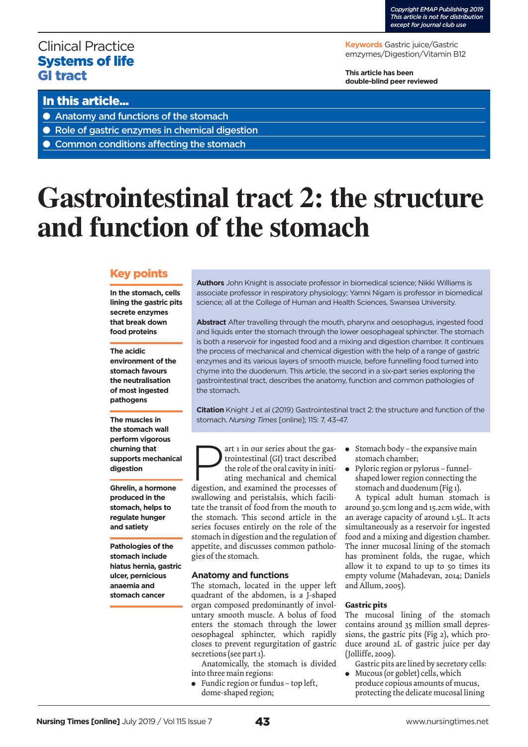## Clinical Practice Systems of life GI tract

**Keywords** Gastric juice/Gastric emzymes/Digestion/Vitamin B12

**This article has been double-blind peer reviewed**

### In this article...

- **Anatomy and functions of the stomach**
- Role of gastric enzymes in chemical digestion
- Common conditions affecting the stomach

# **Gastrointestinal tract 2: the structure and function of the stomach**

#### Key points

**In the stomach, cells lining the gastric pits secrete enzymes that break down food proteins** 

**The acidic environment of the stomach favours the neutralisation of most ingested pathogens** 

**The muscles in the stomach wall perform vigorous churning that supports mechanical digestion** 

**Ghrelin, a hormone produced in the stomach, helps to regulate hunger and satiety** 

**Pathologies of the stomach include hiatus hernia, gastric ulcer, pernicious anaemia and stomach cancer** 

**Authors** John Knight is associate professor in biomedical science; Nikki Williams is associate professor in respiratory physiology; Yamni Nigam is professor in biomedical science; all at the College of Human and Health Sciences, Swansea University.

**Abstract** After travelling through the mouth, pharynx and oesophagus, ingested food and liquids enter the stomach through the lower oesophageal sphincter. The stomach is both a reservoir for ingested food and a mixing and digestion chamber. It continues the process of mechanical and chemical digestion with the help of a range of gastric enzymes and its various layers of smooth muscle, before funnelling food turned into chyme into the duodenum. This article, the second in a six-part series exploring the gastrointestinal tract, describes the anatomy, function and common pathologies of the stomach.

**Citation** Knight J et al (2019) Gastrointestinal tract 2: the structure and function of the stomach. *Nursing Times* [online]; 115: 7, 43-47.

art 1 in our series about the gastrointestinal (GI) tract described<br>the role of the oral cavity in initiating mechanical and chemical<br>digestion, and examined the processes of trointestinal (GI) tract described the role of the oral cavity in initiating mechanical and chemical

digestion, and examined the processes of swallowing and peristalsis, which facilitate the transit of food from the mouth to the stomach. This second article in the series focuses entirely on the role of the stomach in digestion and the regulation of appetite, and discusses common pathologies of the stomach.

#### **Anatomy and functions**

The stomach, located in the upper left quadrant of the abdomen, is a J-shaped organ composed predominantly of involuntary smooth muscle. A bolus of food enters the stomach through the lower oesophageal sphincter, which rapidly closes to prevent regurgitation of gastric secretions (see part 1).

Anatomically, the stomach is divided into three main regions:

• Fundic region or fundus - top left, dome-shaped region;

- $\bullet$  Stomach body the expansive main stomach chamber;
- Pyloric region or pylorus funnelshaped lower region connecting the stomach and duodenum (Fig 1).

A typical adult human stomach is around 30.5cm long and 15.2cm wide, with an average capacity of around 1.5L. It acts simultaneously as a reservoir for ingested food and a mixing and digestion chamber. The inner mucosal lining of the stomach has prominent folds, the rugae, which allow it to expand to up to 50 times its empty volume (Mahadevan, 2014; Daniels and Allum, 2005).

#### **Gastric pits**

The mucosal lining of the stomach contains around 35 million small depressions, the gastric pits (Fig 2), which produce around 2L of gastric juice per day (Jolliffe, 2009).

Gastric pits are lined by secretory cells:

Mucous (or goblet) cells, which produce copious amounts of mucus, protecting the delicate mucosal lining

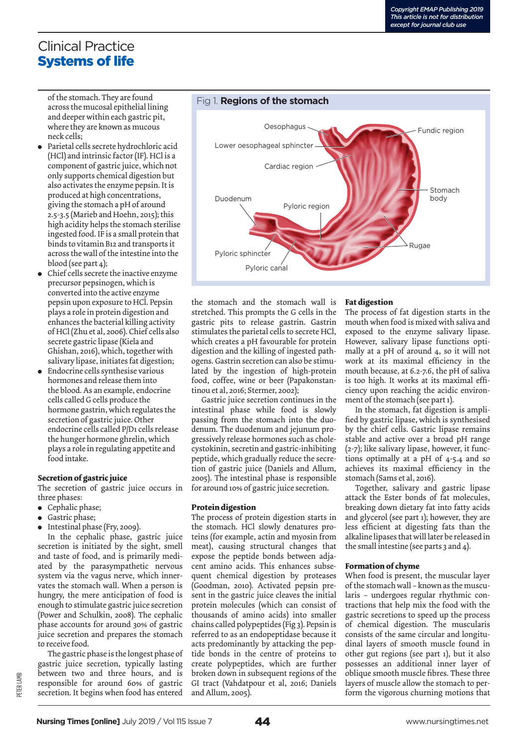of the stomach. They are found across the mucosal epithelial lining and deeper within each gastric pit, where they are known as mucous neck cells;

- Parietal cells secrete hydrochloric acid (HCl) and intrinsic factor (IF). HCl is a component of gastric juice, which not only supports chemical digestion but also activates the enzyme pepsin. It is produced at high concentrations, giving the stomach a pH of around 2.5-3.5 (Marieb and Hoehn, 2015); this high acidity helps the stomach sterilise ingested food. IF is a small protein that binds to vitamin B12 and transports it across the wall of the intestine into the blood (see part 4);
- Chief cells secrete the inactive enzyme precursor pepsinogen, which is converted into the active enzyme pepsin upon exposure to HCl. Pepsin plays a role in protein digestion and enhances the bacterial killing activity of HCl (Zhu et al, 2006). Chief cells also secrete gastric lipase (Kiela and Ghishan, 2016), which, together with salivary lipase, initiates fat digestion;
- Endocrine cells synthesise various hormones and release them into the blood. As an example, endocrine cells called G cells produce the hormone gastrin, which regulates the secretion of gastric juice. Other endocrine cells called P/D1 cells release the hunger hormone ghrelin, which plays a role in regulating appetite and food intake.

#### **Secretion of gastric juice**

The secretion of gastric juice occurs in three phases:

- $\bullet$  Cephalic phase;
- Gastric phase;
- Intestinal phase (Fry, 2009).

In the cephalic phase, gastric juice secretion is initiated by the sight, smell and taste of food, and is primarily mediated by the parasympathetic nervous system via the vagus nerve, which innervates the stomach wall. When a person is hungry, the mere anticipation of food is enough to stimulate gastric juice secretion (Power and Schulkin, 2008). The cephalic phase accounts for around 30% of gastric juice secretion and prepares the stomach to receive food.

The gastric phase is the longest phase of gastric juice secretion, typically lasting between two and three hours, and is responsible for around 60% of gastric secretion. It begins when food has entered



the stomach and the stomach wall is stretched. This prompts the G cells in the gastric pits to release gastrin. Gastrin stimulates the parietal cells to secrete HCl, which creates a pH favourable for protein digestion and the killing of ingested pathogens. Gastrin secretion can also be stimulated by the ingestion of high-protein food, coffee, wine or beer (Papakonstantinou et al, 2016; Stermer, 2002);

Gastric juice secretion continues in the intestinal phase while food is slowly passing from the stomach into the duodenum. The duodenum and jejunum progressively release hormones such as cholecystokinin, secretin and gastric-inhibiting peptide, which gradually reduce the secretion of gastric juice (Daniels and Allum, 2005). The intestinal phase is responsible for around 10% of gastric juice secretion.

#### **Protein digestion**

The process of protein digestion starts in the stomach. HCl slowly denatures proteins (for example, actin and myosin from meat), causing structural changes that expose the peptide bonds between adjacent amino acids. This enhances subsequent chemical digestion by proteases (Goodman, 2010). Activated pepsin present in the gastric juice cleaves the initial protein molecules (which can consist of thousands of amino acids) into smaller chains called polypeptides (Fig 3). Pepsin is referred to as an endopeptidase because it acts predominantly by attacking the peptide bonds in the centre of proteins to create polypeptides, which are further broken down in subsequent regions of the GI tract (Vahdatpour et al, 2016; Daniels and Allum, 2005).

#### **Fat digestion**

The process of fat digestion starts in the mouth when food is mixed with saliva and exposed to the enzyme salivary lipase. However, salivary lipase functions optimally at a pH of around 4, so it will not work at its maximal efficiency in the mouth because, at 6.2-7.6, the pH of saliva is too high. It works at its maximal efficiency upon reaching the acidic environment of the stomach (see part 1).

In the stomach, fat digestion is amplified by gastric lipase, which is synthesised by the chief cells. Gastric lipase remains stable and active over a broad pH range (2-7); like salivary lipase, however, it functions optimally at a pH of 4-5.4 and so achieves its maximal efficiency in the stomach (Sams et al, 2016).

Together, salivary and gastric lipase attack the Ester bonds of fat molecules, breaking down dietary fat into fatty acids and glycerol (see part 1); however, they are less efficient at digesting fats than the alkaline lipases that will later be released in the small intestine (see parts 3 and 4).

#### **Formation of chyme**

When food is present, the muscular layer of the stomach wall – known as the muscularis – undergoes regular rhythmic contractions that help mix the food with the gastric secretions to speed up the process of chemical digestion. The muscularis consists of the same circular and longitudinal layers of smooth muscle found in other gut regions (see part 1), but it also possesses an additional inner layer of oblique smooth muscle fibres. These three layers of muscle allow the stomach to perform the vigorous churning motions that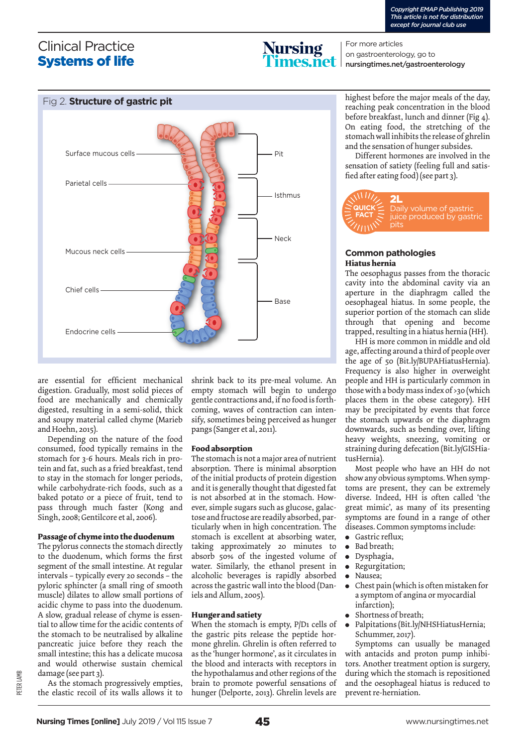

For more articles on gastroenterology, go to nursingtimes.net/gastroenterology



are essential for efficient mechanical digestion. Gradually, most solid pieces of food are mechanically and chemically digested, resulting in a semi-solid, thick and soupy material called chyme (Marieb and Hoehn, 2015).

Depending on the nature of the food consumed, food typically remains in the stomach for 3-6 hours. Meals rich in protein and fat, such as a fried breakfast, tend to stay in the stomach for longer periods, while carbohydrate-rich foods, such as a baked potato or a piece of fruit, tend to pass through much faster (Kong and Singh, 2008; Gentilcore et al, 2006).

#### **Passage of chyme into the duodenum**

The pylorus connects the stomach directly to the duodenum, which forms the first segment of the small intestine. At regular intervals – typically every 20 seconds – the pyloric sphincter (a small ring of smooth muscle) dilates to allow small portions of acidic chyme to pass into the duodenum. A slow, gradual release of chyme is essential to allow time for the acidic contents of the stomach to be neutralised by alkaline pancreatic juice before they reach the small intestine; this has a delicate mucosa and would otherwise sustain chemical damage (see part 3).

As the stomach progressively empties, the elastic recoil of its walls allows it to

shrink back to its pre-meal volume. An empty stomach will begin to undergo gentle contractions and, if no food is forthcoming, waves of contraction can intensify, sometimes being perceived as hunger pangs (Sanger et al, 2011).

#### **Food absorption**

The stomach is not a major area of nutrient absorption. There is minimal absorption of the initial products of protein digestion and it is generally thought that digested fat is not absorbed at in the stomach. However, simple sugars such as glucose, galactose and fructose are readily absorbed, particularly when in high concentration. The stomach is excellent at absorbing water, taking approximately 20 minutes to absorb 50% of the ingested volume of water. Similarly, the ethanol present in alcoholic beverages is rapidly absorbed across the gastric wall into the blood (Daniels and Allum, 2005).

#### **Hunger and satiety**

When the stomach is empty, P/D1 cells of the gastric pits release the peptide hormone ghrelin. Ghrelin is often referred to as the 'hunger hormone', as it circulates in the blood and interacts with receptors in the hypothalamus and other regions of the brain to promote powerful sensations of hunger (Delporte, 2013). Ghrelin levels are

highest before the major meals of the day, reaching peak concentration in the blood before breakfast, lunch and dinner (Fig 4). On eating food, the stretching of the stomach wall inhibits the release of ghrelin and the sensation of hunger subsides.

Different hormones are involved in the sensation of satiety (feeling full and satisfied after eating food) (see part 3).



#### **Common pathologies Hiatus hernia**

The oesophagus passes from the thoracic cavity into the abdominal cavity via an aperture in the diaphragm called the oesophageal hiatus. In some people, the superior portion of the stomach can slide through that opening and become trapped, resulting in a hiatus hernia (HH).

HH is more common in middle and old age, affecting around a third of people over the age of 50 (Bit.ly/BUPAHiatusHernia). Frequency is also higher in overweight people and HH is particularly common in those with a body mass index of >30 (which places them in the obese category). HH may be precipitated by events that force the stomach upwards or the diaphragm downwards, such as bending over, lifting heavy weights, sneezing, vomiting or straining during defecation (Bit.ly/GISHiatusHernia).

Most people who have an HH do not show any obvious symptoms. When symptoms are present, they can be extremely diverse. Indeed, HH is often called 'the great mimic', as many of its presenting symptoms are found in a range of other diseases. Common symptoms include:

- Gastric reflux;
- Bad breath;
- · Dysphagia,
- Regurgitation;
- Nausea;
- Chest pain (which is often mistaken for a symptom of angina or myocardial infarction);
- Shortness of breath;
- Palpitations (Bit.ly/NHSHiatusHernia; Schummer, 2017).

Symptoms can usually be managed with antacids and proton pump inhibitors. Another treatment option is surgery, during which the stomach is repositioned and the oesophageal hiatus is reduced to prevent re-herniation.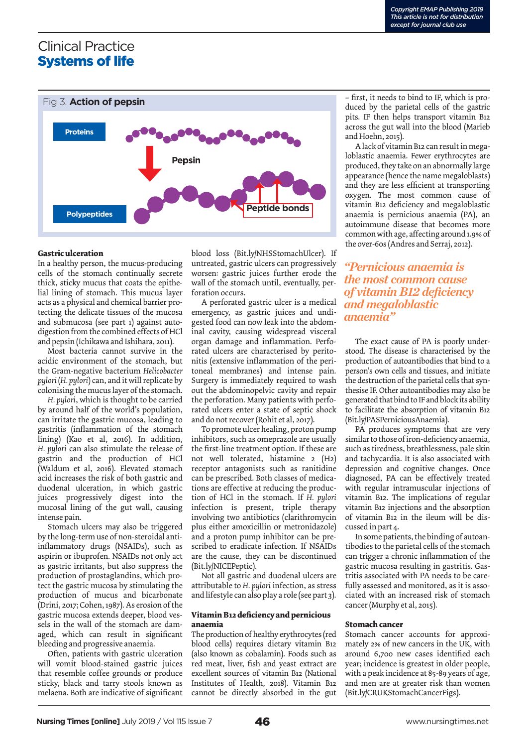

#### **Gastric ulceration**

In a healthy person, the mucus-producing cells of the stomach continually secrete thick, sticky mucus that coats the epithelial lining of stomach. This mucus layer acts as a physical and chemical barrier protecting the delicate tissues of the mucosa and submucosa (see part 1) against autodigestion from the combined effects of HCl and pepsin (Ichikawa and Ishihara, 2011).

Most bacteria cannot survive in the acidic environment of the stomach, but the Gram-negative bacterium *Helicobacter pylori* (*H. pylori*) can, and it will replicate by colonising the mucus layer of the stomach.

*H. pylori*, which is thought to be carried by around half of the world's population, can irritate the gastric mucosa, leading to gastritis (inflammation of the stomach lining) (Kao et al, 2016). In addition, *H. pylori* can also stimulate the release of gastrin and the production of HCl (Waldum et al, 2016). Elevated stomach acid increases the risk of both gastric and duodenal ulceration, in which gastric juices progressively digest into the mucosal lining of the gut wall, causing intense pain.

Stomach ulcers may also be triggered by the long-term use of non-steroidal antiinflammatory drugs (NSAIDs), such as aspirin or ibuprofen. NSAIDs not only act as gastric irritants, but also suppress the production of prostaglandins, which protect the gastric mucosa by stimulating the production of mucus and bicarbonate (Drini, 2017; Cohen, 1987). As erosion of the gastric mucosa extends deeper, blood vessels in the wall of the stomach are damaged, which can result in significant bleeding and progressive anaemia.

Often, patients with gastric ulceration will vomit blood-stained gastric juices that resemble coffee grounds or produce sticky, black and tarry stools known as melaena. Both are indicative of significant

blood loss (Bit.ly/NHSStomachUlcer). If untreated, gastric ulcers can progressively worsen: gastric juices further erode the wall of the stomach until, eventually, perforation occurs.

A perforated gastric ulcer is a medical emergency, as gastric juices and undigested food can now leak into the abdominal cavity, causing widespread visceral organ damage and inflammation. Perforated ulcers are characterised by peritonitis (extensive inflammation of the peritoneal membranes) and intense pain. Surgery is immediately required to wash out the abdominopelvic cavity and repair the perforation. Many patients with perforated ulcers enter a state of septic shock and do not recover (Rohit et al, 2017).

To promote ulcer healing, proton pump inhibitors, such as omeprazole are usually the first-line treatment option. If these are not well tolerated, histamine 2 (H2) receptor antagonists such as ranitidine can be prescribed. Both classes of medications are effective at reducing the production of HCl in the stomach. If *H. pylori* infection is present, triple therapy involving two antibiotics (clarithromycin plus either amoxicillin or metronidazole) and a proton pump inhibitor can be prescribed to eradicate infection. If NSAIDs are the cause, they can be discontinued (Bit.ly/NICEPeptic).

Not all gastric and duodenal ulcers are attributable to *H. pylori* infection, as stress and lifestyle can also play a role (see part 3).

#### **Vitamin B12 deficiency and pernicious anaemia**

The production of healthy erythrocytes (red blood cells) requires dietary vitamin B12 (also known as cobalamin). Foods such as red meat, liver, fish and yeast extract are excellent sources of vitamin B12 (National Institutes of Health, 2018). Vitamin B12 cannot be directly absorbed in the gut

– first, it needs to bind to IF, which is produced by the parietal cells of the gastric pits. IF then helps transport vitamin B12 across the gut wall into the blood (Marieb and Hoehn, 2015).

A lack of vitamin B12 can result in megaloblastic anaemia. Fewer erythrocytes are produced, they take on an abnormally large appearance (hence the name megaloblasts) and they are less efficient at transporting oxygen. The most common cause of vitamin B12 deficiency and megaloblastic anaemia is pernicious anaemia (PA), an autoimmune disease that becomes more common with age, affecting around 1.9% of the over-60s (Andres and Serraj, 2012).

*"Pernicious anaemia is the most common cause of vitamin B12 deficiency and megaloblastic anaemia"*

The exact cause of PA is poorly understood. The disease is characterised by the production of autoantibodies that bind to a person's own cells and tissues, and initiate the destruction of the parietal cells that synthesise IF. Other autoantibodies may also be generated that bind to IF and block its ability to facilitate the absorption of vitamin B12 (Bit.ly/PASPerniciousAnaemia).

PA produces symptoms that are very similar to those of iron-deficiency anaemia, such as tiredness, breathlessness, pale skin and tachycardia. It is also associated with depression and cognitive changes. Once diagnosed, PA can be effectively treated with regular intramuscular injections of vitamin B12. The implications of regular vitamin B12 injections and the absorption of vitamin B12 in the ileum will be discussed in part 4.

In some patients, the binding of autoantibodies to the parietal cells of the stomach can trigger a chronic inflammation of the gastric mucosa resulting in gastritis. Gastritis associated with PA needs to be carefully assessed and monitored, as it is associated with an increased risk of stomach cancer (Murphy et al, 2015).

#### **Stomach cancer**

Stomach cancer accounts for approximately 2% of new cancers in the UK, with around 6,700 new cases identified each year; incidence is greatest in older people, with a peak incidence at 85-89 years of age, and men are at greater risk than women (Bit.ly/CRUKStomachCancerFigs).